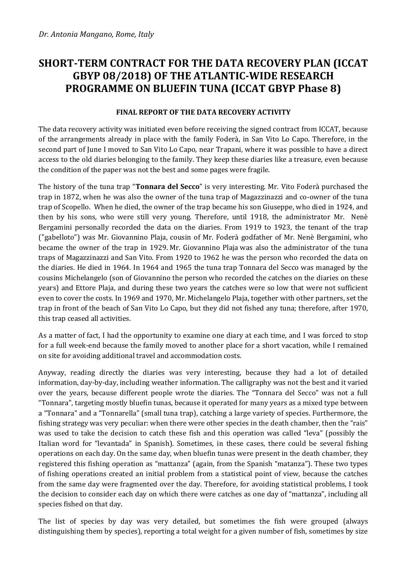## **SHORT-TERM CONTRACT FOR THE DATA RECOVERY PLAN (ICCAT GBYP 08/2018) OF THE ATLANTIC-WIDE RESEARCH PROGRAMME ON BLUEFIN TUNA (ICCAT GBYP Phase 8)**

## **FINAL REPORT OF THE DATA RECOVERY ACTIVITY**

The data recovery activity was initiated even before receiving the signed contract from ICCAT, because of the arrangements already in place with the family Foderà, in San Vito Lo Capo. Therefore, in the second part of June I moved to San Vito Lo Capo, near Trapani, where it was possible to have a direct access to the old diaries belonging to the family. They keep these diaries like a treasure, even because the condition of the paper was not the best and some pages were fragile.

The history of the tuna trap "**Tonnara del Secco**" is very interesting. Mr. Vito Foderà purchased the trap in 1872, when he was also the owner of the tuna trap of Magazzinazzi and co-owner of the tuna trap of Scopello. When he died, the owner of the trap became his son Giuseppe, who died in 1924, and then by his sons, who were still very young. Therefore, until 1918, the administrator Mr. Nenè Bergamini personally recorded the data on the diaries. From 1919 to 1923, the tenant of the trap ("gabelloto") was Mr. Giovannino Plaja, cousin of Mr. Foderà godfather of Mr. Nenè Bergamini, who became the owner of the trap in 1929. Mr. Giovannino Plaja was also the administrator of the tuna traps of Magazzinazzi and San Vito. From 1920 to 1962 he was the person who recorded the data on the diaries. He died in 1964. In 1964 and 1965 the tuna trap Tonnara del Secco was managed by the cousins Michelangelo (son of Giovannino the person who recorded the catches on the diaries on these years) and Ettore Plaja, and during these two years the catches were so low that were not sufficient even to cover the costs. In 1969 and 1970, Mr. Michelangelo Plaja, together with other partners, set the trap in front of the beach of San Vito Lo Capo, but they did not fished any tuna; therefore, after 1970, this trap ceased all activities.

As a matter of fact, I had the opportunity to examine one diary at each time, and I was forced to stop for a full week-end because the family moved to another place for a short vacation, while I remained on site for avoiding additional travel and accommodation costs.

Anyway, reading directly the diaries was very interesting, because they had a lot of detailed information, day-by-day, including weather information. The calligraphy was not the best and it varied over the years, because different people wrote the diaries. The "Tonnara del Secco" was not a full "Tonnara", targeting mostly bluefin tunas, because it operated for many years as a mixed type between a "Tonnara" and a "Tonnarella" (small tuna trap), catching a large variety of species. Furthermore, the fishing strategy was very peculiar: when there were other species in the death chamber, then the "rais" was used to take the decision to catch these fish and this operation was called "leva" (possibly the Italian word for "levantada" in Spanish). Sometimes, in these cases, there could be several fishing operations on each day. On the same day, when bluefin tunas were present in the death chamber, they registered this fishing operation as "mattanza" (again, from the Spanish "matanza"). These two types of fishing operations created an initial problem from a statistical point of view, because the catches from the same day were fragmented over the day. Therefore, for avoiding statistical problems, I took the decision to consider each day on which there were catches as one day of "mattanza", including all species fished on that day.

The list of species by day was very detailed, but sometimes the fish were grouped (always distinguishing them by species), reporting a total weight for a given number of fish, sometimes by size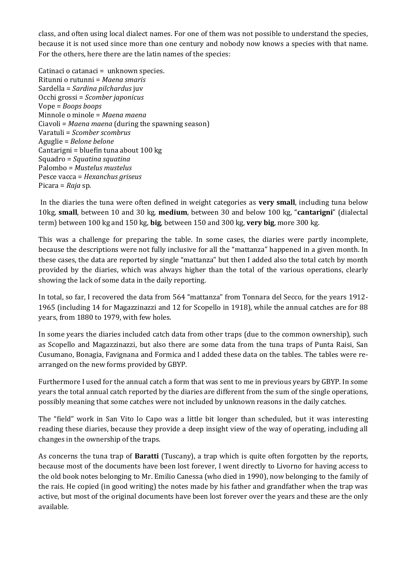class, and often using local dialect names. For one of them was not possible to understand the species, because it is not used since more than one century and nobody now knows a species with that name. For the others, here there are the latin names of the species:

Catinaci o catanaci = unknown species. Ritunni o rutunni = *Maena smaris* Sardella = *Sardina pilchardus* juv Occhi grossi = *Scomber japonicus* Vope = *Boops boops* Minnole o minole = *Maena maena* Ciavoli = *Maena maena* (during the spawning season) Varatuli = *Scomber scombrus* Aguglie = *Belone belone* Cantarigni = bluefin tuna about 100 kg Squadro = *Squatina squatina* Palombo = *Mustelus mustelus* Pesce vacca = *Hexanchus griseus* Picara = *Raja* sp.

In the diaries the tuna were often defined in weight categories as **very small**, including tuna below 10kg, **small**, between 10 and 30 kg, **medium**, between 30 and below 100 kg, "**cantarigni**" (dialectal term) between 100 kg and 150 kg, **big**, between 150 and 300 kg, **very big**, more 300 kg.

This was a challenge for preparing the table. In some cases, the diaries were partly incomplete, because the descriptions were not fully inclusive for all the "mattanza" happened in a given month. In these cases, the data are reported by single "mattanza" but then I added also the total catch by month provided by the diaries, which was always higher than the total of the various operations, clearly showing the lack of some data in the daily reporting.

In total, so far, I recovered the data from 564 "mattanza" from Tonnara del Secco, for the years 1912- 1965 (including 14 for Magazzinazzi and 12 for Scopello in 1918), while the annual catches are for 88 years, from 1880 to 1979, with few holes.

In some years the diaries included catch data from other traps (due to the common ownership), such as Scopello and Magazzinazzi, but also there are some data from the tuna traps of Punta Raisi, San Cusumano, Bonagia, Favignana and Formica and I added these data on the tables. The tables were rearranged on the new forms provided by GBYP.

Furthermore I used for the annual catch a form that was sent to me in previous years by GBYP. In some years the total annual catch reported by the diaries are different from the sum of the single operations, possibly meaning that some catches were not included by unknown reasons in the daily catches.

The "field" work in San Vito lo Capo was a little bit longer than scheduled, but it was interesting reading these diaries, because they provide a deep insight view of the way of operating, including all changes in the ownership of the traps.

As concerns the tuna trap of **Baratti** (Tuscany), a trap which is quite often forgotten by the reports, because most of the documents have been lost forever, I went directly to Livorno for having access to the old book notes belonging to Mr. Emilio Canessa (who died in 1990), now belonging to the family of the rais. He copied (in good writing) the notes made by his father and grandfather when the trap was active, but most of the original documents have been lost forever over the years and these are the only available.